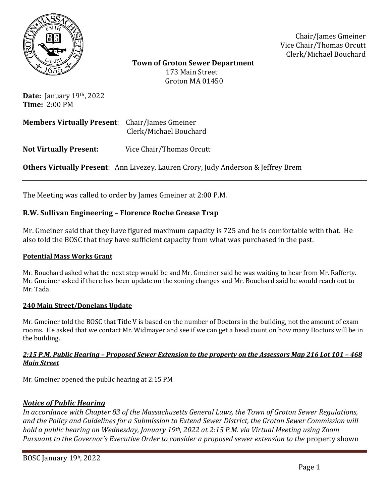

Chair/James Gmeiner Vice Chair/Thomas Orcutt Clerk/Michael Bouchard

 **Town of Groton Sewer Department** 173 Main Street Groton MA 01450

**Date:** January 19th, 2022 **Time:** 2:00 PM

| <b>Members Virtually Present:</b> Chair/James Gmeiner | Clerk/Michael Bouchard                                                                   |
|-------------------------------------------------------|------------------------------------------------------------------------------------------|
| <b>Not Virtually Present:</b>                         | Vice Chair/Thomas Orcutt                                                                 |
|                                                       | <b>Others Virtually Present:</b> Ann Livezey, Lauren Crory, Judy Anderson & Jeffrey Brem |

The Meeting was called to order by James Gmeiner at 2:00 P.M.

# **R.W. Sullivan Engineering – Florence Roche Grease Trap**

Mr. Gmeiner said that they have figured maximum capacity is 725 and he is comfortable with that. He also told the BOSC that they have sufficient capacity from what was purchased in the past.

#### **Potential Mass Works Grant**

Mr. Bouchard asked what the next step would be and Mr. Gmeiner said he was waiting to hear from Mr. Rafferty. Mr. Gmeiner asked if there has been update on the zoning changes and Mr. Bouchard said he would reach out to Mr. Tada.

#### **240 Main Street/Donelans Update**

Mr. Gmeiner told the BOSC that Title V is based on the number of Doctors in the building, not the amount of exam rooms. He asked that we contact Mr. Widmayer and see if we can get a head count on how many Doctors will be in the building.

#### 2:15 P.M. Public Hearing – Proposed Sewer Extension to the property on the Assessors Map 216 Lot 101 – 468 *Main Street*

Mr. Gmeiner opened the public hearing at 2:15 PM

### *Notice of Public Hearing*

*In accordance with Chapter 83 of the Massachusetts General Laws, the Town of Groton Sewer Regulations, and the Policy and Guidelines for a Submission to Extend Sewer District, the Groton Sewer Commission will hold a public hearing on Wednesday, January 19th, 2022 at 2:15 P.M. via Virtual Meeting using Zoom Pursuant to the Governor's Executive Order to consider a proposed sewer extension to the* property shown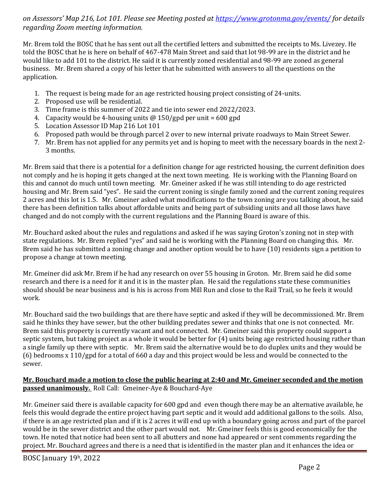*on Assessors' Map 216, Lot 101. Please see Meeting posted at <https://www.grotonma.gov/events/> for details regarding Zoom meeting information.*

Mr. Brem told the BOSC that he has sent out all the certified letters and submitted the receipts to Ms. Livezey. He told the BOSC that he is here on behalf of 467-478 Main Street and said that lot 98-99 are in the district and he would like to add 101 to the district. He said it is currently zoned residential and 98-99 are zoned as general business. Mr. Brem shared a copy of his letter that he submitted with answers to all the questions on the application.

- 1. The request is being made for an age restricted housing project consisting of 24-units.
- 2. Proposed use will be residential.
- 3. Time frame is this summer of 2022 and tie into sewer end 2022/2023.
- 4. Capacity would be 4-housing units  $\omega$  150/gpd per unit = 600 gpd
- 5. Location Assessor ID Map 216 Lot 101
- 6. Proposed path would be through parcel 2 over to new internal private roadways to Main Street Sewer.
- 7. Mr. Brem has not applied for any permits yet and is hoping to meet with the necessary boards in the next 2- 3 months.

Mr. Brem said that there is a potential for a definition change for age restricted housing, the current definition does not comply and he is hoping it gets changed at the next town meeting. He is working with the Planning Board on this and cannot do much until town meeting. Mr. Gmeiner asked if he was still intending to do age restricted housing and Mr. Brem said "yes". He said the current zoning is single family zoned and the current zoning requires 2 acres and this lot is 1.5. Mr. Gmeiner asked what modifications to the town zoning are you talking about, he said there has been definition talks about affordable units and being part of subsiding units and all those laws have changed and do not comply with the current regulations and the Planning Board is aware of this.

Mr. Bouchard asked about the rules and regulations and asked if he was saying Groton's zoning not in step with state regulations. Mr. Brem replied "yes" and said he is working with the Planning Board on changing this. Mr. Brem said he has submitted a zoning change and another option would be to have (10) residents sign a petition to propose a change at town meeting.

Mr. Gmeiner did ask Mr. Brem if he had any research on over 55 housing in Groton. Mr. Brem said he did some research and there is a need for it and it is in the master plan. He said the regulations state these communities should should be near business and is his is across from Mill Run and close to the Rail Trail, so he feels it would work.

Mr. Bouchard said the two buildings that are there have septic and asked if they will be decommissioned. Mr. Brem said he thinks they have sewer, but the other building predates sewer and thinks that one is not connected. Mr. Brem said this property is currently vacant and not connected. Mr. Gmeiner said this property could support a septic system, but taking project as a whole it would be better for (4) units being age restricted housing rather than a single family up there with septic. Mr. Brem said the alternative would be to do duplex units and they would be (6) bedrooms x 110/gpd for a total of 660 a day and this project would be less and would be connected to the sewer.

### **Mr. Bouchard made a motion to close the public hearing at 2:40 and Mr. Gmeiner seconded and the motion passed unanimously.** Roll Call: Gmeiner-Aye & Bouchard-Aye

Mr. Gmeiner said there is available capacity for 600 gpd and even though there may be an alternative available, he feels this would degrade the entire project having part septic and it would add additional gallons to the soils. Also, if there is an age restricted plan and if it is 2 acres it will end up with a boundary going across and part of the parcel would be in the sewer district and the other part would not. Mr. Gmeiner feels this is good economically for the town. He noted that notice had been sent to all abutters and none had appeared or sent comments regarding the project. Mr. Bouchard agrees and there is a need that is identified in the master plan and it enhances the idea or

BOSC January 19h, 2022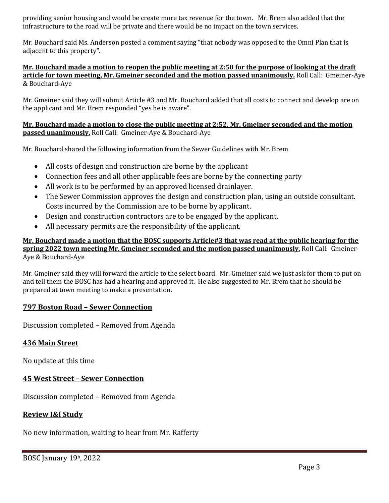providing senior housing and would be create more tax revenue for the town. Mr. Brem also added that the infrastructure to the road will be private and there would be no impact on the town services.

Mr. Bouchard said Ms. Anderson posted a comment saying "that nobody was opposed to the Omni Plan that is adjacent to this property".

#### **Mr. Bouchard made a motion to reopen the public meeting at 2:50 for the purpose of looking at the draft article for town meeting, Mr. Gmeiner seconded and the motion passed unanimously.** Roll Call: Gmeiner-Aye & Bouchard-Aye

Mr. Gmeiner said they will submit Article #3 and Mr. Bouchard added that all costs to connect and develop are on the applicant and Mr. Brem responded "yes he is aware".

### **Mr. Bouchard made a motion to close the public meeting at 2:52, Mr. Gmeiner seconded and the motion passed unanimously.** Roll Call: Gmeiner-Aye & Bouchard-Aye

Mr. Bouchard shared the following information from the Sewer Guidelines with Mr. Brem

- All costs of design and construction are borne by the applicant
- Connection fees and all other applicable fees are borne by the connecting party
- All work is to be performed by an approved licensed drainlayer.
- The Sewer Commission approves the design and construction plan, using an outside consultant. Costs incurred by the Commission are to be borne by applicant.
- Design and construction contractors are to be engaged by the applicant.
- All necessary permits are the responsibility of the applicant.

#### **Mr. Bouchard made a motion that the BOSC supports Article#3 that was read at the public hearing for the spring 2022 town meeting Mr. Gmeiner seconded and the motion passed unanimously.** Roll Call: Gmeiner-Aye & Bouchard-Aye

Mr. Gmeiner said they will forward the article to the select board. Mr. Gmeiner said we just ask for them to put on and tell them the BOSC has had a hearing and approved it. He also suggested to Mr. Brem that he should be prepared at town meeting to make a presentation.

### **797 Boston Road – Sewer Connection**

Discussion completed – Removed from Agenda

### **436 Main Street**

No update at this time

### **45 West Street – Sewer Connection**

Discussion completed – Removed from Agenda

### **Review I&I Study**

No new information, waiting to hear from Mr. Rafferty